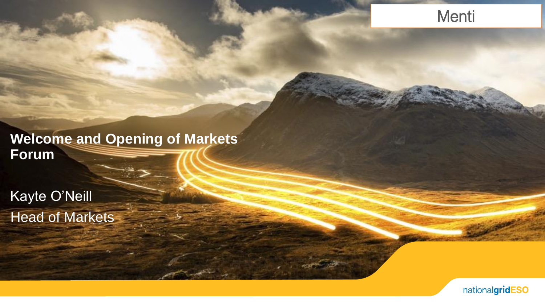### Menti

### **Welcome and Opening of Markets Forum**

Kayte O'Neill Head of Markets

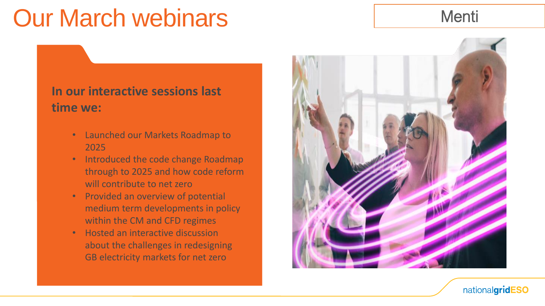# Our March webinars Menti

### **In our interactive sessions last time we:**

- Launched our Markets Roadmap to 2025
- Introduced the code change Roadmap through to 2025 and how code reform will contribute to net zero
- Provided an overview of potential medium term developments in policy within the CM and CFD regimes
- Hosted an interactive discussion about the challenges in redesigning GB electricity markets for net zero



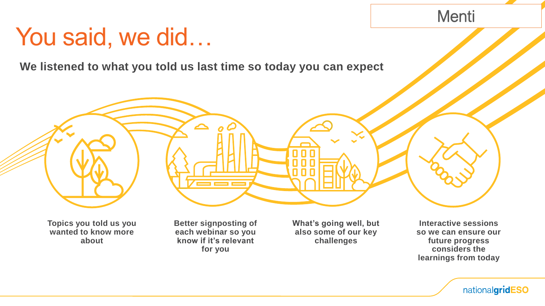### You said, we did…

**We listened to what you told us last time so today you can expect**



**Topics you told us you wanted to know more about**

**Better signposting of each webinar so you know if it's relevant for you**

**What's going well, but also some of our key challenges**

**Interactive sessions so we can ensure our future progress considers the learnings from today**

Menti

nationalgridESO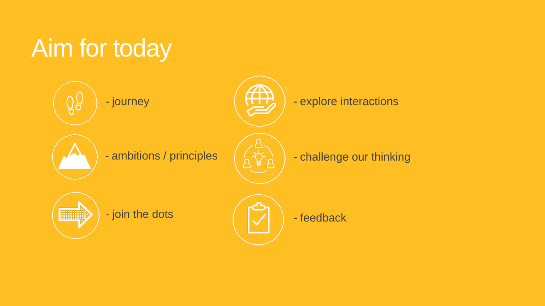# Aim for today

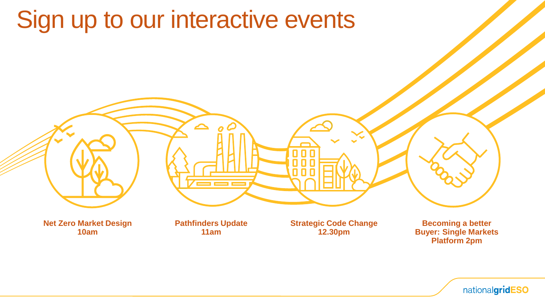# Sign up to our interactive events



**10am**

**11am**

**12.30pm**

**Buyer: Single Markets Platform 2pm**